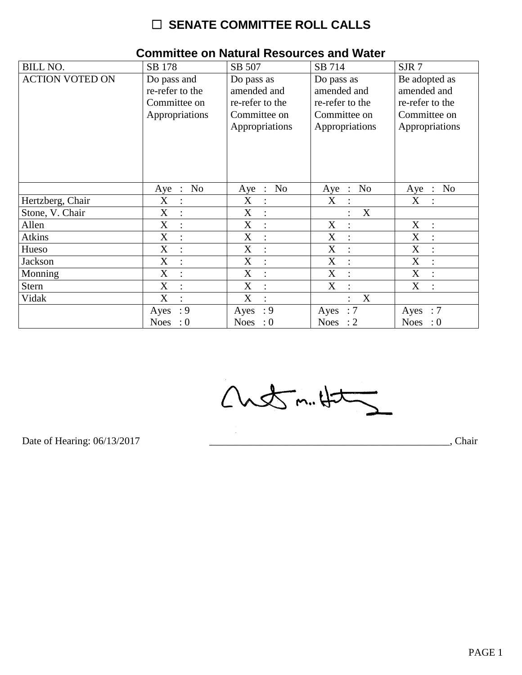# $\Box$  SENATE COMMITTEE ROLL CALLS

| <b>BILL NO.</b>        | SB 178                                          | SB 507                    | SB 714                    | SJR7                                  |
|------------------------|-------------------------------------------------|---------------------------|---------------------------|---------------------------------------|
| <b>ACTION VOTED ON</b> | Do pass and                                     | Do pass as                | Do pass as                | Be adopted as                         |
|                        | re-refer to the                                 | amended and               | amended and               | amended and                           |
|                        | Committee on                                    | re-refer to the           | re-refer to the           | re-refer to the                       |
|                        | Appropriations                                  | Committee on              | Committee on              | Committee on                          |
|                        |                                                 | Appropriations            | Appropriations            | Appropriations                        |
|                        |                                                 |                           |                           |                                       |
|                        |                                                 |                           |                           |                                       |
|                        |                                                 |                           |                           |                                       |
|                        |                                                 |                           |                           |                                       |
|                        |                                                 |                           |                           |                                       |
|                        | N <sub>o</sub><br>Aye<br>$\ddot{\phantom{1}}$ : | <b>No</b><br>Aye :        | N <sub>o</sub><br>$Aye$ : | N <sub>o</sub><br>Aye<br>$\therefore$ |
| Hertzberg, Chair       | X<br>:                                          | X<br>$\ddot{\cdot}$       | X                         | $\boldsymbol{X}$                      |
| Stone, V. Chair        | X<br>$\ddot{\cdot}$                             | X<br>$\ddot{\cdot}$       | X                         |                                       |
| Allen                  | X<br>$\bullet$                                  | X<br>$\ddot{\cdot}$       | X<br>$\ddot{\cdot}$       | $\boldsymbol{X}$<br>$\cdot$           |
| <b>Atkins</b>          | X                                               | X<br>$\ddot{\cdot}$       | X                         | X                                     |
| Hueso                  | X                                               | X<br>$\ddot{\cdot}$       | X                         | X                                     |
| Jackson                | X<br>$\ddot{\cdot}$                             | X<br>$\ddot{\cdot}$       | X<br>$\ddot{\cdot}$       | X<br>$\bullet$                        |
| Monning                | X                                               | X<br>$\ddot{\phantom{a}}$ | X                         | X                                     |
| <b>Stern</b>           | X                                               | X<br>$\ddot{\cdot}$       | X                         | X                                     |
| Vidak                  | X<br>$\bullet$                                  | X<br>$\bullet$            | X                         |                                       |
|                        | : 9<br>Ayes                                     | : 9<br>Ayes               | $\therefore 7$<br>Ayes    | $\therefore 7$<br>Ayes                |
|                        | Noes<br>$\cdot 0$                               | Noes : $0$                | Noes : $2$                | Noes : $0$                            |

#### **Committee on Natural Resources and Water**

Chetm. Hat

Date of Hearing: 06/13/2017

Chair, Chair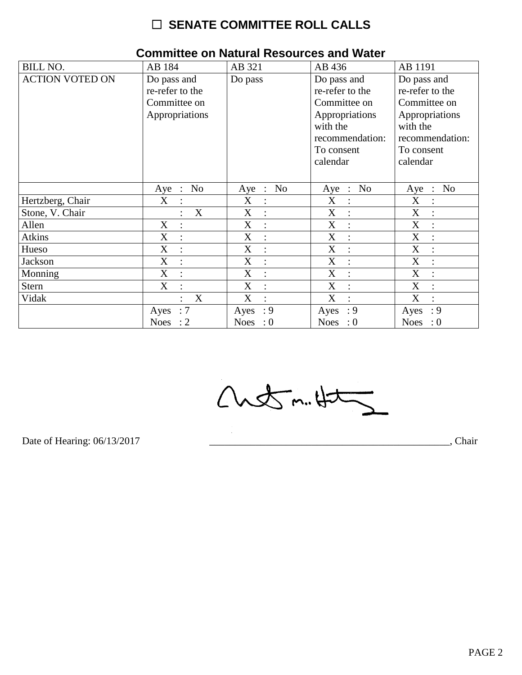# $\Box$  SENATE COMMITTEE ROLL CALLS

| <b>BILL NO.</b>        | AB 184                        | AB 321              | AB 436              | AB 1191             |
|------------------------|-------------------------------|---------------------|---------------------|---------------------|
| <b>ACTION VOTED ON</b> | Do pass and                   | Do pass             | Do pass and         | Do pass and         |
|                        | re-refer to the               |                     | re-refer to the     | re-refer to the     |
|                        | Committee on                  |                     | Committee on        | Committee on        |
|                        | Appropriations                |                     | Appropriations      | Appropriations      |
|                        |                               |                     | with the            | with the            |
|                        |                               |                     | recommendation:     | recommendation:     |
|                        |                               |                     | To consent          | To consent          |
|                        |                               |                     | calendar            | calendar            |
|                        |                               |                     |                     |                     |
|                        | No<br>$Aye$ :                 | Aye : No            | Aye : No            | No<br>Aye<br>$\sim$ |
| Hertzberg, Chair       | X<br>$\ddot{\phantom{a}}$     | X<br>$\ddot{\cdot}$ | X<br>$\ddot{\cdot}$ | X                   |
| Stone, V. Chair        | X                             | X                   | X                   | X                   |
| Allen                  | X<br>$\ddot{\cdot}$           | X<br>$\ddot{\cdot}$ | X<br>$\ddot{\cdot}$ | X<br>$\ddot{\cdot}$ |
| <b>Atkins</b>          | $\mathbf X$<br>$\ddot{\cdot}$ | X<br>$\ddot{\cdot}$ | X<br>$\ddot{\cdot}$ | $\mathbf X$         |
| Hueso                  | X                             | X                   | X                   | X                   |
| Jackson                | X<br>$\ddot{\cdot}$           | X<br>$\ddot{\cdot}$ | X<br>$\ddot{\cdot}$ | X<br>$\ddot{\cdot}$ |
| Monning                | X<br>$\vdots$                 | X<br>$\vdots$       | X<br>$\ddot{\cdot}$ | X                   |
| <b>Stern</b>           | $\mathbf X$                   | X<br>$\ddot{\cdot}$ | X<br>$\ddot{\cdot}$ | X                   |
| Vidak                  | X<br>$\cdot$                  | X<br>$\bullet$      | X                   | X<br>$\cdot$        |
|                        | :7<br>Ayes                    | : 9<br>Ayes         | $\cdot$ 9<br>Ayes   | : 9<br>Ayes         |
|                        | Noes : $2$                    | Noes : $0$          | Noes : $0$          | Noes : $0$          |

### **Committee on Natural Resources and Water**

Chetm.Ht

Date of Hearing: 06/13/2017

Chair, Chair